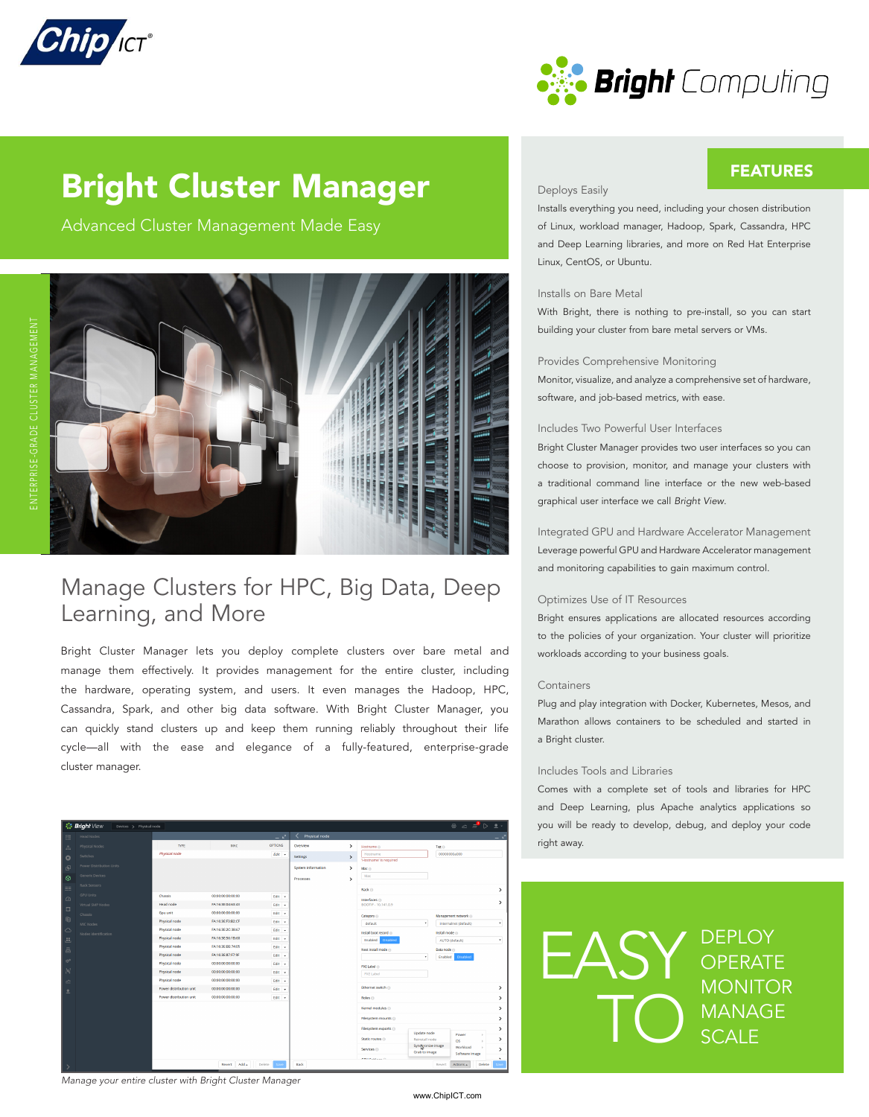



FEATURES

# Bright Cluster Manager

Advanced Cluster Management Made Easy



### Manage Clusters for HPC, Big Data, Deep Learning, and More

Bright Cluster Manager lets you deploy complete clusters over bare metal and manage them effectively. It provides management for the entire cluster, including the hardware, operating system, and users. It even manages the Hadoop, HPC, Cassandra, Spark, and other big data software. With Bright Cluster Manager, you can quickly stand clusters up and keep them running reliably throughout their life cycle—all with the ease and elegance of a fully-featured, enterprise-grade cluster manager.

| $\circledast$ $\circledast$ $\circledast$ $\circledast$<br><b>Bright</b> View<br>Devices > Physical node |                          |                             |                                        |                  |                    |               |                                                              |                                                 |
|----------------------------------------------------------------------------------------------------------|--------------------------|-----------------------------|----------------------------------------|------------------|--------------------|---------------|--------------------------------------------------------------|-------------------------------------------------|
| 丰                                                                                                        | Head Nodes               |                             |                                        | س _              | Physical node      |               |                                                              | ج _                                             |
| $\mathbb{R}$                                                                                             | Physical Nodes           | <b>TYPE</b>                 | MAC                                    | <b>OPTIONS</b>   | Overview           | >             | Hostname @                                                   | Tag (i)                                         |
| $\circ$                                                                                                  | Switches                 | Physical node               |                                        | $Edr -$          | Settings           | $\rightarrow$ | Hostname                                                     | 000000004000                                    |
| 田                                                                                                        | Power Distribution Units |                             |                                        |                  | System Information | $\mathcal{L}$ | 'Hostname' is required<br>Mac (i)                            |                                                 |
|                                                                                                          | Generic Devices          |                             |                                        |                  |                    |               | Mac                                                          |                                                 |
| $\odot$                                                                                                  | Rack Sensors             |                             |                                        |                  | Processes          | >             |                                                              |                                                 |
| 頭                                                                                                        | <b>GPU Units</b>         |                             |                                        |                  |                    |               | Rack ()                                                      | >                                               |
| $\circ$                                                                                                  |                          | Chassis<br><b>Head node</b> | 00:00:00:00:00:00<br>FA:16:3E:04:63:43 | Edit +           |                    |               | Interfaces <sup>(1)</sup>                                    | $\rightarrow$                                   |
| $\Box$                                                                                                   | Virtual SMP Nodes        | Gpu unit                    | 00:00:00:00:00                         | Edit v<br>Edit v |                    |               | BOOTIF - 10.141.0.9                                          |                                                 |
| 电                                                                                                        | Chassis                  | Physical node               | FA:16:3E:F3:B2:CF                      | Edit -           |                    |               | Category ()                                                  | Management network @                            |
| $\triangle$                                                                                              | MIC Nodes                | Physical node               | FA:16:3E:2C:38:67                      | Edit +           |                    |               | default<br>$\mathbf{r}$                                      | ٠<br>internalnet (default)                      |
|                                                                                                          | Nodes Identification     | Physical node               | FA:16:3E:56:1B:60                      | Edit v           |                    |               | Install boot record (i)                                      | Install mode in                                 |
| 玉                                                                                                        |                          | Physical node               | FA:16:3E:BE:74:05                      | Edit -           |                    |               | Enabled<br>Disabled                                          | AUTO (default)<br>۰                             |
| $\equiv$                                                                                                 |                          | Physical node               | FA:16:3E:87:F7:9F                      | Edit +           |                    |               | Next install mode ()<br>×                                    | Data node (ii)<br>Enabled<br>Disabled           |
| <b>b</b> <sup>o</sup>                                                                                    |                          | Physical node               | 00:00:00:00:00:00                      | Edit v           |                    |               |                                                              |                                                 |
| b                                                                                                        |                          | Physical node               | 00:00:00:00:00:00                      | Edit v           |                    |               | PXE Label in<br>PXE Label                                    |                                                 |
| ó                                                                                                        |                          | Physical node               | 00:00:00:00:00:00                      | Edit +           |                    |               |                                                              |                                                 |
| 으                                                                                                        |                          | Power distribution unit     | 00:00:00:00:00:00                      | Edit +           |                    |               | Ethernet switch                                              | $\rightarrow$                                   |
|                                                                                                          |                          | Power distribution unit     | 00:00:00:00:00:00                      | Edit v           |                    |               | Roles <sup>O</sup>                                           | $\rightarrow$                                   |
|                                                                                                          |                          |                             |                                        |                  |                    |               | Kernel modules                                               | >                                               |
|                                                                                                          |                          |                             |                                        |                  |                    |               | Filesystem mounts                                            | >                                               |
|                                                                                                          |                          |                             |                                        |                  |                    |               | Filesystem exports<br>Update node                            | >                                               |
|                                                                                                          |                          |                             |                                        |                  |                    |               | Static routes (ii)<br>Reinstall node                         | Power<br>><br>os                                |
|                                                                                                          |                          |                             |                                        |                  |                    |               | Syndyronize image<br>Services <sup>()</sup><br>Grab to image | Workload<br>$\rightarrow$<br>Software image     |
|                                                                                                          |                          |                             | Revert Add. Delate                     |                  | Bark               |               | <b>CREATING</b>                                              | $\mathbf{v}$<br>Delete<br>Artises -<br>Research |

#### *Manage your entire cluster with Bright Cluster Manager*

#### Deploys Easily

Installs everything you need, including your chosen distribution of Linux, workload manager, Hadoop, Spark, Cassandra, HPC and Deep Learning libraries, and more on Red Hat Enterprise Linux, CentOS, or Ubuntu.

#### Installs on Bare Metal

With Bright, there is nothing to pre-install, so you can start building your cluster from bare metal servers or VMs.

#### Provides Comprehensive Monitoring

Monitor, visualize, and analyze a comprehensive set of hardware, software, and job-based metrics, with ease.

#### Includes Two Powerful User Interfaces

Bright Cluster Manager provides two user interfaces so you can choose to provision, monitor, and manage your clusters with a traditional command line interface or the new web-based graphical user interface we call *Bright View*.

Integrated GPU and Hardware Accelerator Management Leverage powerful GPU and Hardware Accelerator management and monitoring capabilities to gain maximum control.

#### Optimizes Use of IT Resources

Bright ensures applications are allocated resources according to the policies of your organization. Your cluster will prioritize workloads according to your business goals.

#### Containers

Plug and play integration with Docker, Kubernetes, Mesos, and Marathon allows containers to be scheduled and started in a Bright cluster.

#### Includes Tools and Libraries

Comes with a complete set of tools and libraries for HPC and Deep Learning, plus Apache analytics applications so you will be ready to develop, debug, and deploy your code right away.